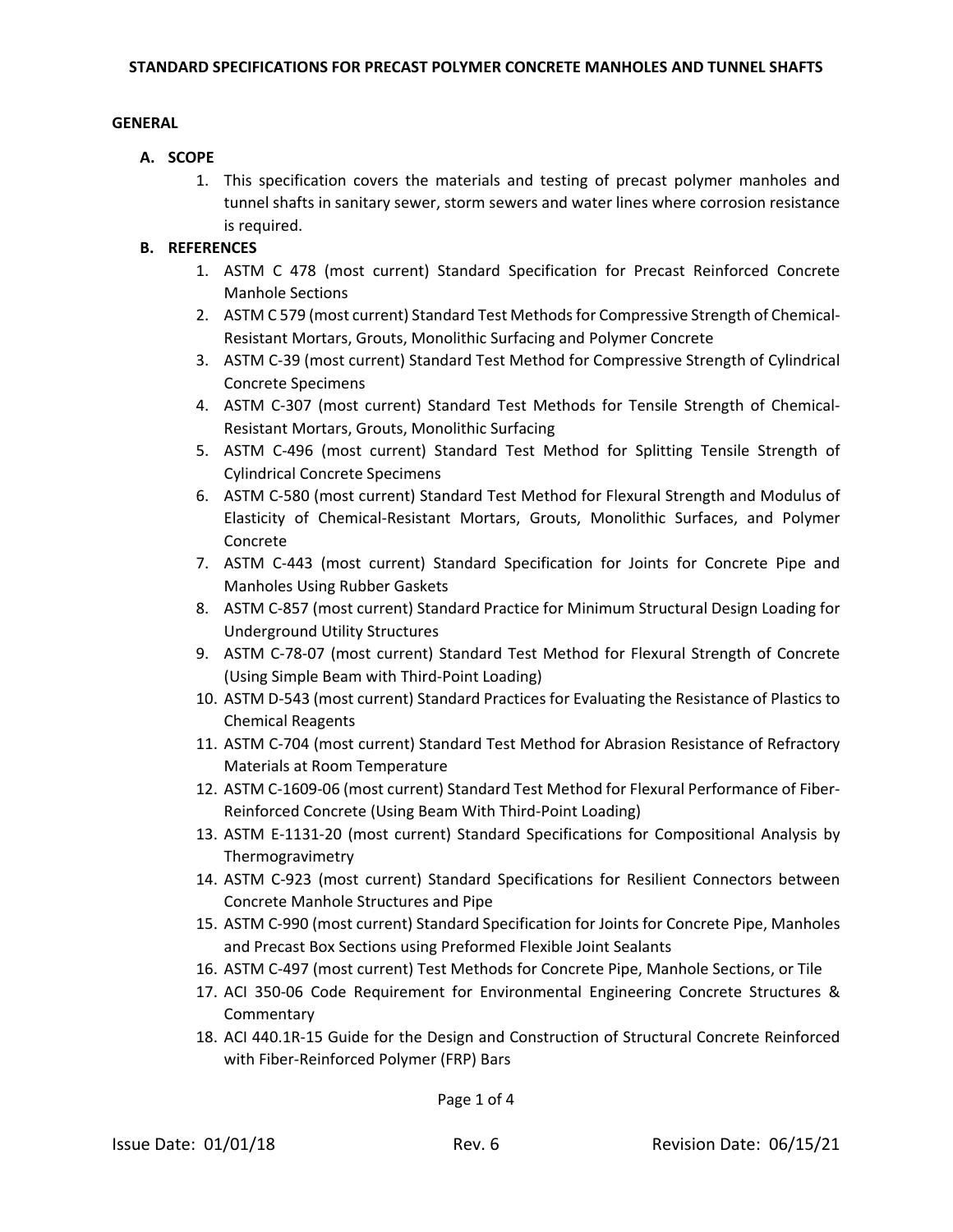#### **GENERAL**

#### **A. SCOPE**

1. This specification covers the materials and testing of precast polymer manholes and tunnel shafts in sanitary sewer, storm sewers and water lines where corrosion resistance is required.

### **B. REFERENCES**

- 1. ASTM C 478 (most current) Standard Specification for Precast Reinforced Concrete Manhole Sections
- 2. ASTM C 579 (most current) Standard Test Methods for Compressive Strength of Chemical-Resistant Mortars, Grouts, Monolithic Surfacing and Polymer Concrete
- 3. ASTM C‐39 (most current) Standard Test Method for Compressive Strength of Cylindrical Concrete Specimens
- 4. ASTM C‐307 (most current) Standard Test Methods for Tensile Strength of Chemical‐ Resistant Mortars, Grouts, Monolithic Surfacing
- 5. ASTM C‐496 (most current) Standard Test Method for Splitting Tensile Strength of Cylindrical Concrete Specimens
- 6. ASTM C‐580 (most current) Standard Test Method for Flexural Strength and Modulus of Elasticity of Chemical‐Resistant Mortars, Grouts, Monolithic Surfaces, and Polymer Concrete
- 7. ASTM C‐443 (most current) Standard Specification for Joints for Concrete Pipe and Manholes Using Rubber Gaskets
- 8. ASTM C-857 (most current) Standard Practice for Minimum Structural Design Loading for Underground Utility Structures
- 9. ASTM C-78-07 (most current) Standard Test Method for Flexural Strength of Concrete (Using Simple Beam with Third‐Point Loading)
- 10. ASTM D-543 (most current) Standard Practices for Evaluating the Resistance of Plastics to Chemical Reagents
- 11. ASTM C-704 (most current) Standard Test Method for Abrasion Resistance of Refractory Materials at Room Temperature
- 12. ASTM C-1609-06 (most current) Standard Test Method for Flexural Performance of Fiber-Reinforced Concrete (Using Beam With Third‐Point Loading)
- 13. ASTM E-1131-20 (most current) Standard Specifications for Compositional Analysis by Thermogravimetry
- 14. ASTM C‐923 (most current) Standard Specifications for Resilient Connectors between Concrete Manhole Structures and Pipe
- 15. ASTM C‐990 (most current) Standard Specification for Joints for Concrete Pipe, Manholes and Precast Box Sections using Preformed Flexible Joint Sealants
- 16. ASTM C‐497 (most current) Test Methods for Concrete Pipe, Manhole Sections, or Tile
- 17. ACI 350‐06 Code Requirement for Environmental Engineering Concrete Structures & **Commentary**
- 18. ACI 440.1R‐15 Guide for the Design and Construction of Structural Concrete Reinforced with Fiber‐Reinforced Polymer (FRP) Bars

Page 1 of 4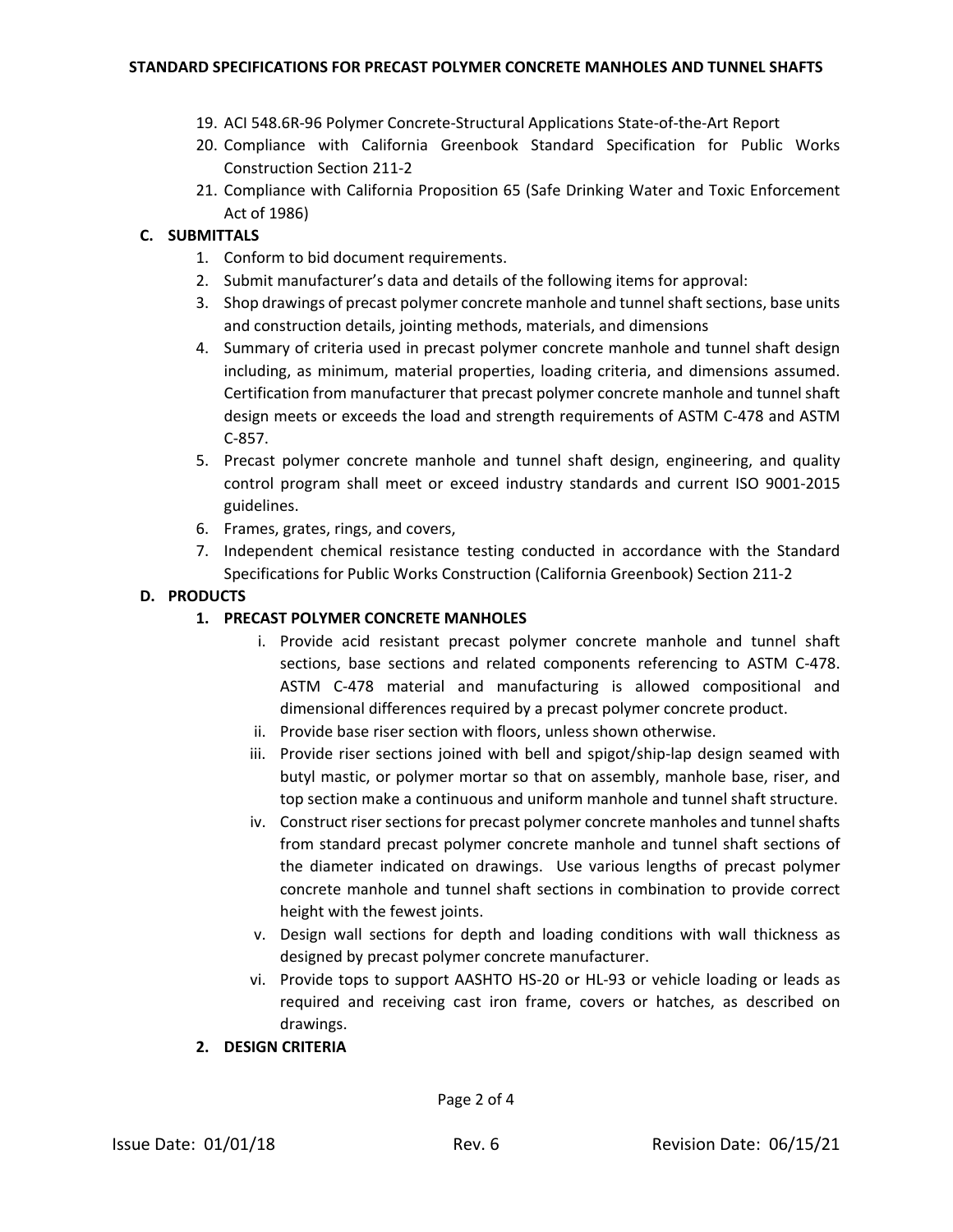- 19. ACI 548.6R‐96 Polymer Concrete‐Structural Applications State‐of‐the‐Art Report
- 20. Compliance with California Greenbook Standard Specification for Public Works Construction Section 211‐2
- 21. Compliance with California Proposition 65 (Safe Drinking Water and Toxic Enforcement Act of 1986)

# **C. SUBMITTALS**

- 1. Conform to bid document requirements.
- 2. Submit manufacturer's data and details of the following items for approval:
- 3. Shop drawings of precast polymer concrete manhole and tunnel shaft sections, base units and construction details, jointing methods, materials, and dimensions
- 4. Summary of criteria used in precast polymer concrete manhole and tunnel shaft design including, as minimum, material properties, loading criteria, and dimensions assumed. Certification from manufacturer that precast polymer concrete manhole and tunnel shaft design meets or exceeds the load and strength requirements of ASTM C‐478 and ASTM C‐857.
- 5. Precast polymer concrete manhole and tunnel shaft design, engineering, and quality control program shall meet or exceed industry standards and current ISO 9001‐2015 guidelines.
- 6. Frames, grates, rings, and covers,
- 7. Independent chemical resistance testing conducted in accordance with the Standard Specifications for Public Works Construction (California Greenbook) Section 211‐2

### **D. PRODUCTS**

# **1. PRECAST POLYMER CONCRETE MANHOLES**

- i. Provide acid resistant precast polymer concrete manhole and tunnel shaft sections, base sections and related components referencing to ASTM C-478. ASTM C‐478 material and manufacturing is allowed compositional and dimensional differences required by a precast polymer concrete product.
- ii. Provide base riser section with floors, unless shown otherwise.
- iii. Provide riser sections joined with bell and spigot/ship‐lap design seamed with butyl mastic, or polymer mortar so that on assembly, manhole base, riser, and top section make a continuous and uniform manhole and tunnel shaft structure.
- iv. Construct riser sections for precast polymer concrete manholes and tunnel shafts from standard precast polymer concrete manhole and tunnel shaft sections of the diameter indicated on drawings. Use various lengths of precast polymer concrete manhole and tunnel shaft sections in combination to provide correct height with the fewest joints.
- v. Design wall sections for depth and loading conditions with wall thickness as designed by precast polymer concrete manufacturer.
- vi. Provide tops to support AASHTO HS‐20 or HL‐93 or vehicle loading or leads as required and receiving cast iron frame, covers or hatches, as described on drawings.
- **2. DESIGN CRITERIA**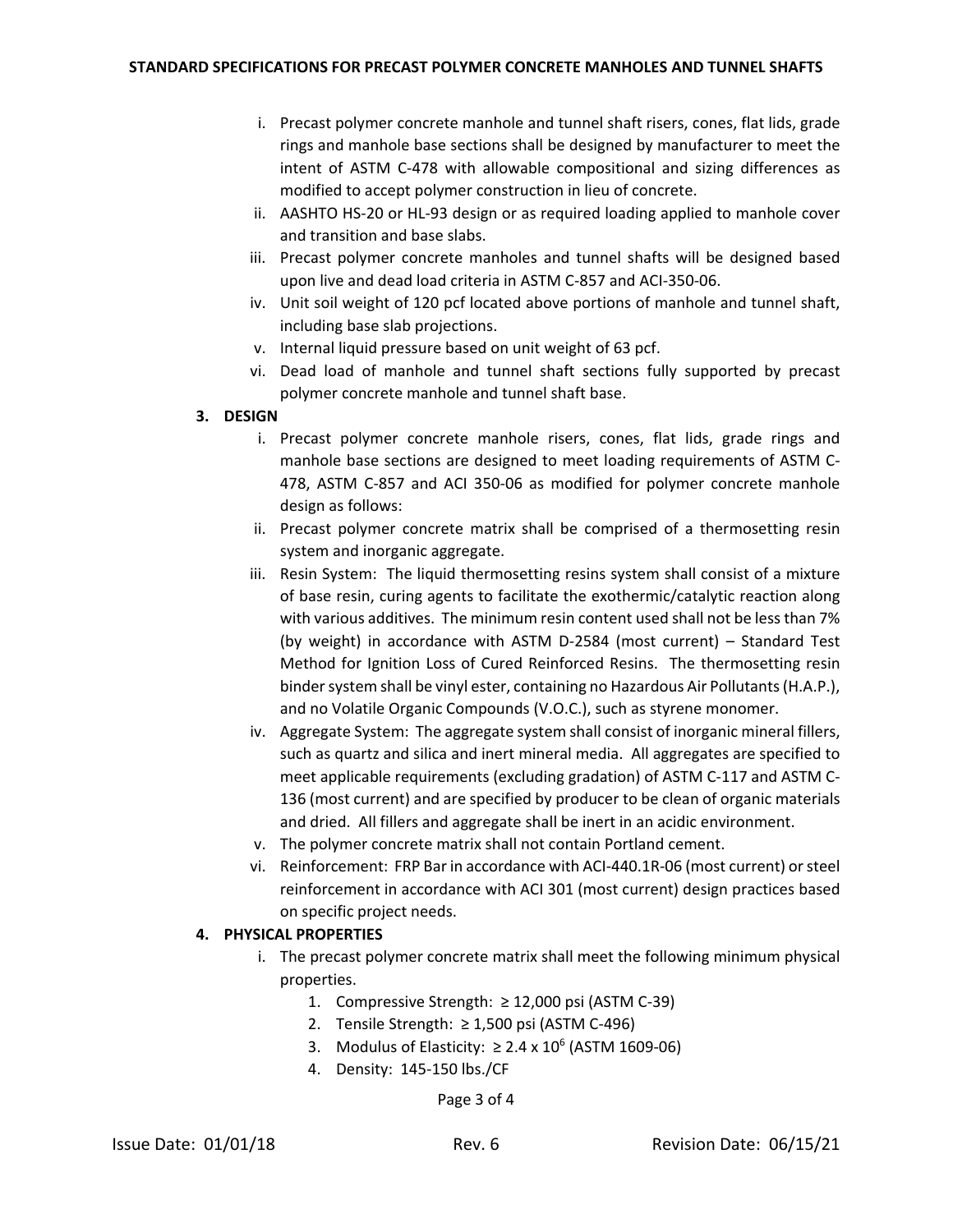- i. Precast polymer concrete manhole and tunnel shaft risers, cones, flat lids, grade rings and manhole base sections shall be designed by manufacturer to meet the intent of ASTM C‐478 with allowable compositional and sizing differences as modified to accept polymer construction in lieu of concrete.
- ii. AASHTO HS‐20 or HL‐93 design or as required loading applied to manhole cover and transition and base slabs.
- iii. Precast polymer concrete manholes and tunnel shafts will be designed based upon live and dead load criteria in ASTM C‐857 and ACI‐350‐06.
- iv. Unit soil weight of 120 pcf located above portions of manhole and tunnel shaft, including base slab projections.
- v. Internal liquid pressure based on unit weight of 63 pcf.
- vi. Dead load of manhole and tunnel shaft sections fully supported by precast polymer concrete manhole and tunnel shaft base.

### **3. DESIGN**

- i. Precast polymer concrete manhole risers, cones, flat lids, grade rings and manhole base sections are designed to meet loading requirements of ASTM C‐ 478, ASTM C‐857 and ACI 350‐06 as modified for polymer concrete manhole design as follows:
- ii. Precast polymer concrete matrix shall be comprised of a thermosetting resin system and inorganic aggregate.
- iii. Resin System: The liquid thermosetting resins system shall consist of a mixture of base resin, curing agents to facilitate the exothermic/catalytic reaction along with various additives. The minimum resin content used shall not be lessthan 7% (by weight) in accordance with ASTM D‐2584 (most current) – Standard Test Method for Ignition Loss of Cured Reinforced Resins. The thermosetting resin binder system shall be vinyl ester, containing no Hazardous Air Pollutants (H.A.P.), and no Volatile Organic Compounds (V.O.C.), such as styrene monomer.
- iv. Aggregate System: The aggregate system shall consist of inorganic mineral fillers, such as quartz and silica and inert mineral media. All aggregates are specified to meet applicable requirements (excluding gradation) of ASTM C-117 and ASTM C-136 (most current) and are specified by producer to be clean of organic materials and dried. All fillers and aggregate shall be inert in an acidic environment.
- v. The polymer concrete matrix shall not contain Portland cement.
- vi. Reinforcement: FRP Bar in accordance with ACI‐440.1R‐06 (most current) orsteel reinforcement in accordance with ACI 301 (most current) design practices based on specific project needs.

# **4. PHYSICAL PROPERTIES**

- i. The precast polymer concrete matrix shall meet the following minimum physical properties.
	- 1. Compressive Strength: ≥ 12,000 psi (ASTM C‐39)
	- 2. Tensile Strength: ≥ 1,500 psi (ASTM C‐496)
	- 3. Modulus of Elasticity:  $\geq 2.4 \times 10^6$  (ASTM 1609-06)
	- 4. Density: 145‐150 lbs./CF

Page 3 of 4